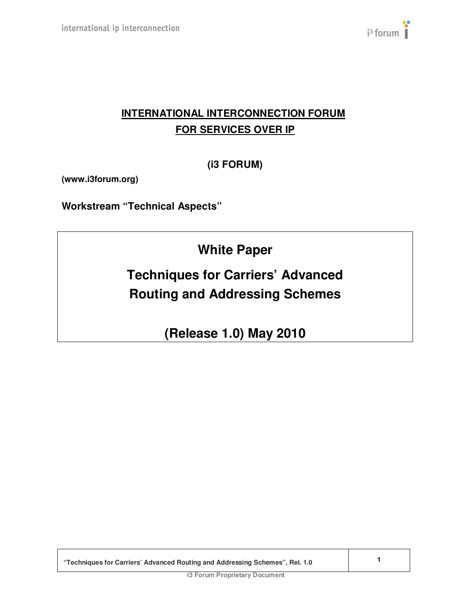

# **INTERNATIONAL INTERCONNECTION FORUM FOR SERVICES OVER IP**

**(i3 FORUM)** 

**(www.i3forum.org)** 

**Workstream "Technical Aspects"**

**White Paper** 

**Techniques for Carriers' Advanced Routing and Addressing Schemes**

**(Release 1.0) May 2010**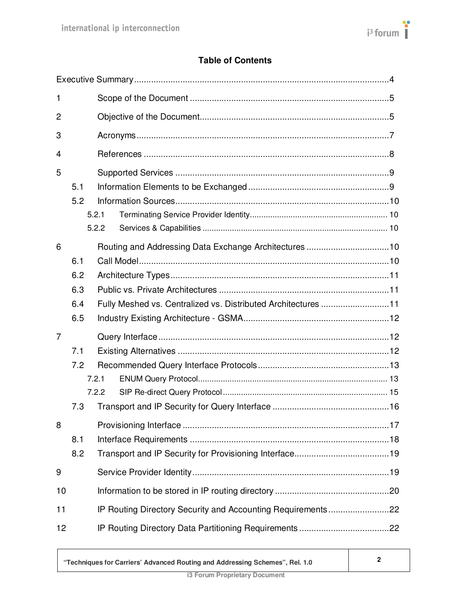

# **Table of Contents**

| 1  |     |                                                               |  |
|----|-----|---------------------------------------------------------------|--|
| 2  |     |                                                               |  |
| 3  |     |                                                               |  |
| 4  |     |                                                               |  |
| 5  |     |                                                               |  |
|    | 5.1 |                                                               |  |
|    | 5.2 |                                                               |  |
|    |     | 5.2.1                                                         |  |
|    |     | 5.2.2                                                         |  |
| 6  |     |                                                               |  |
|    | 6.1 |                                                               |  |
|    | 6.2 |                                                               |  |
|    | 6.3 |                                                               |  |
|    | 6.4 | Fully Meshed vs. Centralized vs. Distributed Architectures 11 |  |
|    | 6.5 |                                                               |  |
| 7  |     |                                                               |  |
|    | 7.1 |                                                               |  |
|    | 7.2 |                                                               |  |
|    |     | 7.2.1                                                         |  |
|    |     | 7.2.2                                                         |  |
|    | 7.3 |                                                               |  |
| 8  |     |                                                               |  |
|    | 8.1 |                                                               |  |
|    | 8.2 |                                                               |  |
| 9  |     |                                                               |  |
| 10 |     |                                                               |  |
| 11 |     |                                                               |  |
| 12 |     |                                                               |  |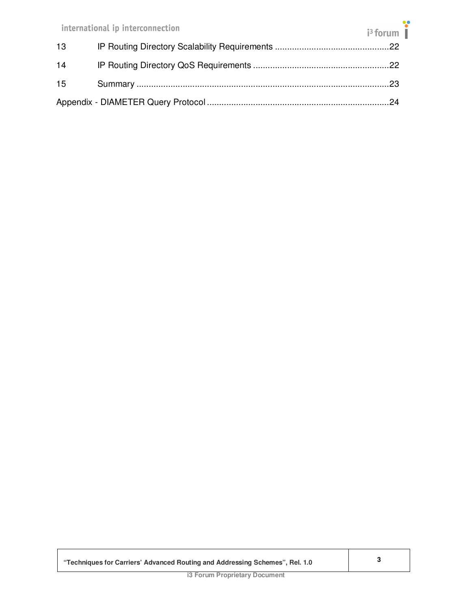|                 | international ip interconnection | $i^3$ forum |  |
|-----------------|----------------------------------|-------------|--|
| 13 <sup>°</sup> |                                  |             |  |
| 14              |                                  |             |  |
| 15              |                                  |             |  |
|                 |                                  |             |  |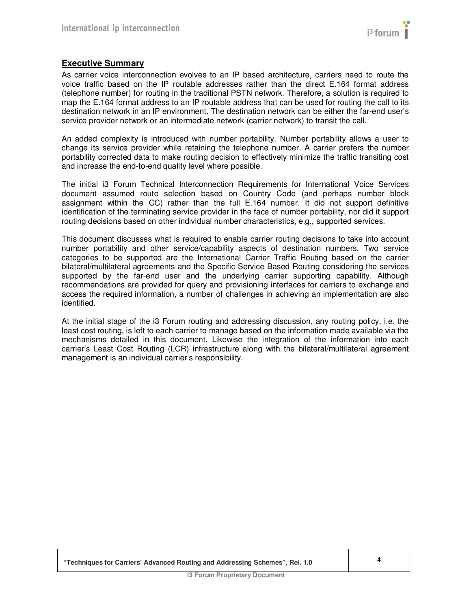# **Executive Summary**

As carrier voice interconnection evolves to an IP based architecture, carriers need to route the voice traffic based on the IP routable addresses rather than the direct E.164 format address (telephone number) for routing in the traditional PSTN network. Therefore, a solution is required to map the E.164 format address to an IP routable address that can be used for routing the call to its destination network in an IP environment. The destination network can be either the far-end user's service provider network or an intermediate network (carrier network) to transit the call.

An added complexity is introduced with number portability. Number portability allows a user to change its service provider while retaining the telephone number. A carrier prefers the number portability corrected data to make routing decision to effectively minimize the traffic transiting cost and increase the end-to-end quality level where possible.

The initial i3 Forum Technical Interconnection Requirements for International Voice Services document assumed route selection based on Country Code (and perhaps number block assignment within the CC) rather than the full E.164 number. It did not support definitive identification of the terminating service provider in the face of number portability, nor did it support routing decisions based on other individual number characteristics, e.g., supported services.

This document discusses what is required to enable carrier routing decisions to take into account number portability and other service/capability aspects of destination numbers. Two service categories to be supported are the International Carrier Traffic Routing based on the carrier bilateral/multilateral agreements and the Specific Service Based Routing considering the services supported by the far-end user and the underlying carrier supporting capability. Although recommendations are provided for query and provisioning interfaces for carriers to exchange and access the required information, a number of challenges in achieving an implementation are also identified.

At the initial stage of the i3 Forum routing and addressing discussion, any routing policy, i.e. the least cost routing, is left to each carrier to manage based on the information made available via the mechanisms detailed in this document. Likewise the integration of the information into each carrier's Least Cost Routing (LCR) infrastructure along with the bilateral/multilateral agreement management is an individual carrier's responsibility.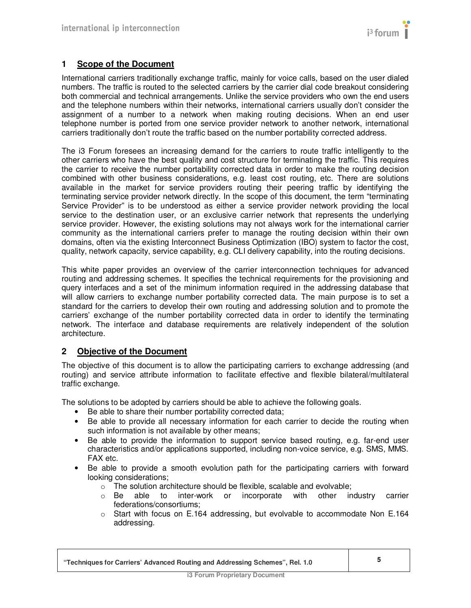# **1 Scope of the Document**

International carriers traditionally exchange traffic, mainly for voice calls, based on the user dialed numbers. The traffic is routed to the selected carriers by the carrier dial code breakout considering both commercial and technical arrangements. Unlike the service providers who own the end users and the telephone numbers within their networks, international carriers usually don't consider the assignment of a number to a network when making routing decisions. When an end user telephone number is ported from one service provider network to another network, international carriers traditionally don't route the traffic based on the number portability corrected address.

The i3 Forum foresees an increasing demand for the carriers to route traffic intelligently to the other carriers who have the best quality and cost structure for terminating the traffic. This requires the carrier to receive the number portability corrected data in order to make the routing decision combined with other business considerations, e.g. least cost routing, etc. There are solutions available in the market for service providers routing their peering traffic by identifying the terminating service provider network directly. In the scope of this document, the term "terminating Service Provider" is to be understood as either a service provider network providing the local service to the destination user, or an exclusive carrier network that represents the underlying service provider. However, the existing solutions may not always work for the international carrier community as the international carriers prefer to manage the routing decision within their own domains, often via the existing Interconnect Business Optimization (IBO) system to factor the cost, quality, network capacity, service capability, e.g. CLI delivery capability, into the routing decisions.

This white paper provides an overview of the carrier interconnection techniques for advanced routing and addressing schemes. It specifies the technical requirements for the provisioning and query interfaces and a set of the minimum information required in the addressing database that will allow carriers to exchange number portability corrected data. The main purpose is to set a standard for the carriers to develop their own routing and addressing solution and to promote the carriers' exchange of the number portability corrected data in order to identify the terminating network. The interface and database requirements are relatively independent of the solution architecture.

# **2 Objective of the Document**

The objective of this document is to allow the participating carriers to exchange addressing (and routing) and service attribute information to facilitate effective and flexible bilateral/multilateral traffic exchange.

The solutions to be adopted by carriers should be able to achieve the following goals.

- Be able to share their number portability corrected data;
- Be able to provide all necessary information for each carrier to decide the routing when such information is not available by other means;
- Be able to provide the information to support service based routing, e.g. far-end user characteristics and/or applications supported, including non-voice service, e.g. SMS, MMS. FAX etc.
- Be able to provide a smooth evolution path for the participating carriers with forward looking considerations;
	- $\circ$  The solution architecture should be flexible, scalable and evolvable;
	- $\circ$  Be able to inter-work or incorporate with other industry carrier federations/consortiums;
	- $\circ$  Start with focus on E.164 addressing, but evolvable to accommodate Non E.164 addressing.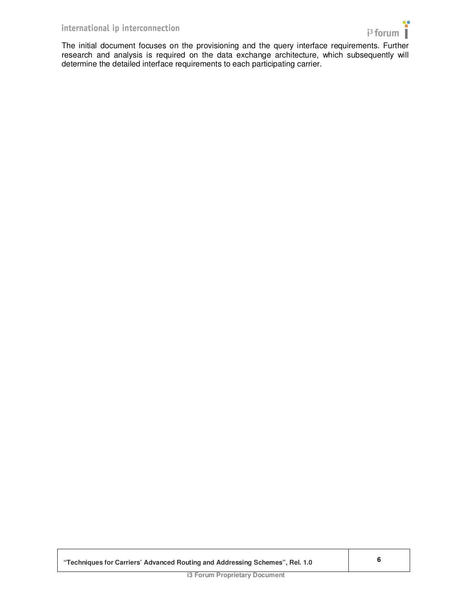

The initial document focuses on the provisioning and the query interface requirements. Further research and analysis is required on the data exchange architecture, which subsequently will determine the detailed interface requirements to each participating carrier.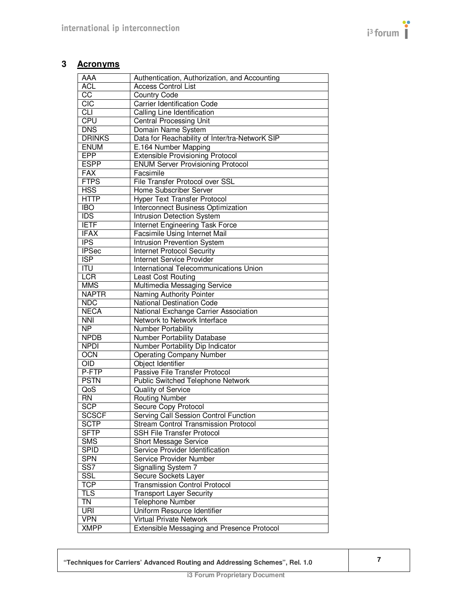# **3 Acronyms**

| AAA                       | Authentication, Authorization, and Accounting  |
|---------------------------|------------------------------------------------|
| <b>ACL</b>                | <b>Access Control List</b>                     |
| $\overline{cc}$           | <b>Country Code</b>                            |
| CIC                       | <b>Carrier Identification Code</b>             |
| $\overline{c}$            | Calling Line Identification                    |
| <b>CPU</b>                | <b>Central Processing Unit</b>                 |
| <b>DNS</b>                | Domain Name System                             |
| <b>DRINKS</b>             | Data for Reachability of Inter/tra-NetworK SIP |
| <b>ENUM</b>               | E.164 Number Mapping                           |
| <b>EPP</b>                | <b>Extensible Provisioning Protocol</b>        |
| <b>ESPP</b>               | <b>ENUM Server Provisioning Protocol</b>       |
| <b>FAX</b>                | Facsimile                                      |
| <b>FTPS</b>               | File Transfer Protocol over SSL                |
| <b>HSS</b>                | Home Subscriber Server                         |
| <b>HTTP</b>               | Hyper Text Transfer Protocol                   |
| <b>IBO</b>                | <b>Interconnect Business Optimization</b>      |
| <b>IDS</b>                | Intrusion Detection System                     |
| <b>IETF</b>               |                                                |
| <b>IFAX</b>               | Internet Engineering Task Force                |
|                           | Facsimile Using Internet Mail                  |
| $\overline{IPS}$          | <b>Intrusion Prevention System</b>             |
| <b>IPSec</b>              | <b>Internet Protocol Security</b>              |
| $\overline{\text{ISP}}$   | <b>Internet Service Provider</b>               |
| $\overline{\mathsf{ITU}}$ | International Telecommunications Union         |
| LCR                       | Least Cost Routing                             |
| <b>MMS</b>                | Multimedia Messaging Service                   |
| <b>NAPTR</b>              | Naming Authority Pointer                       |
| <b>NDC</b>                | National Destination Code                      |
| <b>NECA</b>               | National Exchange Carrier Association          |
| <b>NNI</b>                | Network to Network Interface                   |
| $\overline{\text{NP}}$    | <b>Number Portability</b>                      |
| <b>NPDB</b>               | Number Portability Database                    |
| <b>NPDI</b>               | Number Portability Dip Indicator               |
| OCN                       | <b>Operating Company Number</b>                |
| $\overline{OD}$           | Object Identifier                              |
| P-FTP                     | Passive File Transfer Protocol                 |
| <b>PSTN</b>               | Public Switched Telephone Network              |
| QoS                       | <b>Quality of Service</b>                      |
| $\overline{RN}$           | <b>Routing Number</b>                          |
| <b>SCP</b>                | Secure Copy Protocol                           |
| <b>SCSCF</b>              | Serving Call Session Control Function          |
| <b>SCTP</b>               | <b>Stream Control Transmission Protocol</b>    |
| <b>SFTP</b>               | <b>SSH File Transfer Protocol</b>              |
| <b>SMS</b>                | <b>Short Message Service</b>                   |
| <b>SPID</b>               | Service Provider Identification                |
| <b>SPN</b>                | Service Provider Number                        |
| $\overline{\text{SS}7}$   | Signalling System 7                            |
| <b>SSL</b>                | Secure Sockets Layer                           |
| <b>TCP</b>                | <b>Transmission Control Protocol</b>           |
| <b>TLS</b>                | <b>Transport Layer Security</b>                |
| TN                        | <b>Telephone Number</b>                        |
| URI                       | Uniform Resource Identifier                    |
| <b>VPN</b>                | Virtual Private Network                        |
|                           |                                                |

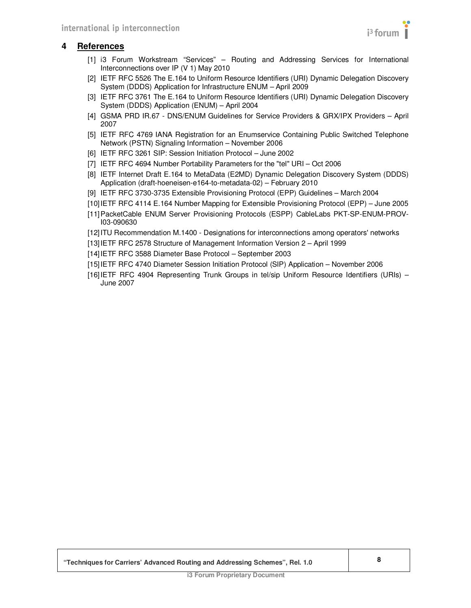

# **4 References**

- [1] i3 Forum Workstream "Services" Routing and Addressing Services for International Interconnections over IP (V 1) May 2010
- [2] IETF RFC 5526 The E.164 to Uniform Resource Identifiers (URI) Dynamic Delegation Discovery System (DDDS) Application for Infrastructure ENUM – April 2009
- [3] IETF RFC 3761 The E.164 to Uniform Resource Identifiers (URI) Dynamic Delegation Discovery System (DDDS) Application (ENUM) – April 2004
- [4] GSMA PRD IR.67 DNS/ENUM Guidelines for Service Providers & GRX/IPX Providers April 2007
- [5] IETF RFC 4769 IANA Registration for an Enumservice Containing Public Switched Telephone Network (PSTN) Signaling Information – November 2006
- [6] IETF RFC 3261 SIP: Session Initiation Protocol June 2002
- [7] IETF RFC 4694 Number Portability Parameters for the "tel" URI Oct 2006
- [8] IETF Internet Draft E.164 to MetaData (E2MD) Dynamic Delegation Discovery System (DDDS) Application (draft-hoeneisen-e164-to-metadata-02) – February 2010
- [9] IETF RFC 3730-3735 Extensible Provisioning Protocol (EPP) Guidelines March 2004
- [10] IETF RFC 4114 E.164 Number Mapping for Extensible Provisioning Protocol (EPP) June 2005
- [11] PacketCable ENUM Server Provisioning Protocols (ESPP) CableLabs PKT-SP-ENUM-PROV-I03-090630
- [12] ITU Recommendation M.1400 Designations for interconnections among operators' networks
- [13] IETF RFC 2578 Structure of Management Information Version 2 April 1999
- [14] IETF RFC 3588 Diameter Base Protocol September 2003
- [15] IETF RFC 4740 Diameter Session Initiation Protocol (SIP) Application November 2006
- [16] IETF RFC 4904 Representing Trunk Groups in tel/sip Uniform Resource Identifiers (URIs) June 2007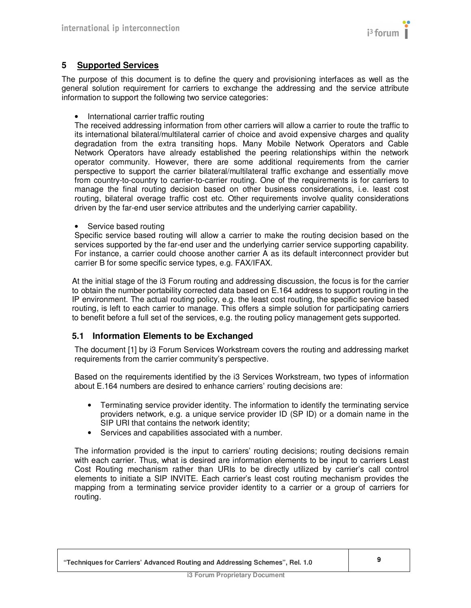

# **5 Supported Services**

The purpose of this document is to define the query and provisioning interfaces as well as the general solution requirement for carriers to exchange the addressing and the service attribute information to support the following two service categories:

• International carrier traffic routing

The received addressing information from other carriers will allow a carrier to route the traffic to its international bilateral/multilateral carrier of choice and avoid expensive charges and quality degradation from the extra transiting hops. Many Mobile Network Operators and Cable Network Operators have already established the peering relationships within the network operator community. However, there are some additional requirements from the carrier perspective to support the carrier bilateral/multilateral traffic exchange and essentially move from country-to-country to carrier-to-carrier routing. One of the requirements is for carriers to manage the final routing decision based on other business considerations, i.e. least cost routing, bilateral overage traffic cost etc. Other requirements involve quality considerations driven by the far-end user service attributes and the underlying carrier capability.

Service based routing

Specific service based routing will allow a carrier to make the routing decision based on the services supported by the far-end user and the underlying carrier service supporting capability. For instance, a carrier could choose another carrier A as its default interconnect provider but carrier B for some specific service types, e.g. FAX/IFAX.

At the initial stage of the i3 Forum routing and addressing discussion, the focus is for the carrier to obtain the number portability corrected data based on E.164 address to support routing in the IP environment. The actual routing policy, e.g. the least cost routing, the specific service based routing, is left to each carrier to manage. This offers a simple solution for participating carriers to benefit before a full set of the services, e.g. the routing policy management gets supported.

# **5.1 Information Elements to be Exchanged**

The document [1] by i3 Forum Services Workstream covers the routing and addressing market requirements from the carrier community's perspective.

Based on the requirements identified by the i3 Services Workstream, two types of information about E.164 numbers are desired to enhance carriers' routing decisions are:

- Terminating service provider identity. The information to identify the terminating service providers network, e.g. a unique service provider ID (SP ID) or a domain name in the SIP URI that contains the network identity;
- Services and capabilities associated with a number.

The information provided is the input to carriers' routing decisions; routing decisions remain with each carrier. Thus, what is desired are information elements to be input to carriers Least Cost Routing mechanism rather than URIs to be directly utilized by carrier's call control elements to initiate a SIP INVITE. Each carrier's least cost routing mechanism provides the mapping from a terminating service provider identity to a carrier or a group of carriers for routing.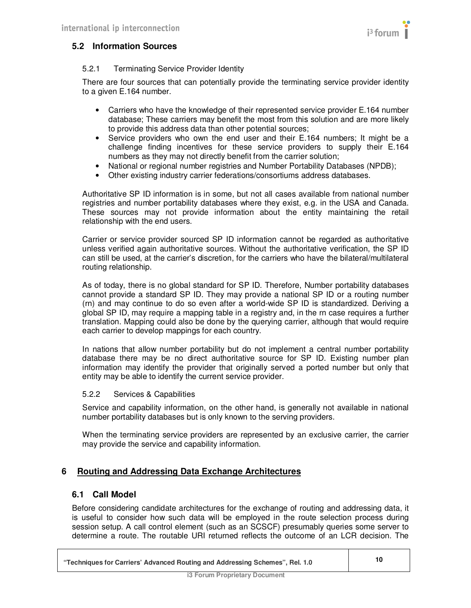

# **5.2 Information Sources**

#### 5.2.1 Terminating Service Provider Identity

There are four sources that can potentially provide the terminating service provider identity to a given E.164 number.

- Carriers who have the knowledge of their represented service provider E.164 number database; These carriers may benefit the most from this solution and are more likely to provide this address data than other potential sources;
- Service providers who own the end user and their E.164 numbers; It might be a challenge finding incentives for these service providers to supply their E.164 numbers as they may not directly benefit from the carrier solution;
- National or regional number registries and Number Portability Databases (NPDB):
- Other existing industry carrier federations/consortiums address databases.

Authoritative SP ID information is in some, but not all cases available from national number registries and number portability databases where they exist, e.g. in the USA and Canada. These sources may not provide information about the entity maintaining the retail relationship with the end users.

Carrier or service provider sourced SP ID information cannot be regarded as authoritative unless verified again authoritative sources. Without the authoritative verification, the SP ID can still be used, at the carrier's discretion, for the carriers who have the bilateral/multilateral routing relationship.

As of today, there is no global standard for SP ID. Therefore, Number portability databases cannot provide a standard SP ID. They may provide a national SP ID or a routing number (rn) and may continue to do so even after a world-wide SP ID is standardized. Deriving a global SP ID, may require a mapping table in a registry and, in the rn case requires a further translation. Mapping could also be done by the querying carrier, although that would require each carrier to develop mappings for each country.

In nations that allow number portability but do not implement a central number portability database there may be no direct authoritative source for SP ID. Existing number plan information may identify the provider that originally served a ported number but only that entity may be able to identify the current service provider.

#### 5.2.2 Services & Capabilities

Service and capability information, on the other hand, is generally not available in national number portability databases but is only known to the serving providers.

When the terminating service providers are represented by an exclusive carrier, the carrier may provide the service and capability information.

# **6 Routing and Addressing Data Exchange Architectures**

#### **6.1 Call Model**

Before considering candidate architectures for the exchange of routing and addressing data, it is useful to consider how such data will be employed in the route selection process during session setup. A call control element (such as an SCSCF) presumably queries some server to determine a route. The routable URI returned reflects the outcome of an LCR decision. The

 $\mathbf{I}$ 

| "Techniques for Carriers' Advanced Routing and Addressing Schemes", Rel. 1.0 |  |
|------------------------------------------------------------------------------|--|
|------------------------------------------------------------------------------|--|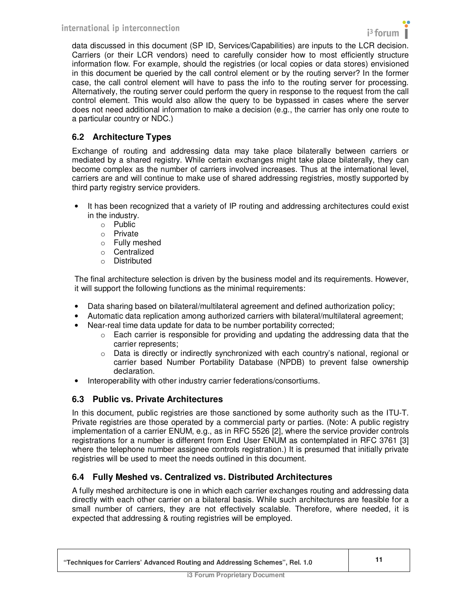

data discussed in this document (SP ID, Services/Capabilities) are inputs to the LCR decision. Carriers (or their LCR vendors) need to carefully consider how to most efficiently structure information flow. For example, should the registries (or local copies or data stores) envisioned in this document be queried by the call control element or by the routing server? In the former case, the call control element will have to pass the info to the routing server for processing. Alternatively, the routing server could perform the query in response to the request from the call control element. This would also allow the query to be bypassed in cases where the server does not need additional information to make a decision (e.g., the carrier has only one route to a particular country or NDC.)

# **6.2 Architecture Types**

Exchange of routing and addressing data may take place bilaterally between carriers or mediated by a shared registry. While certain exchanges might take place bilaterally, they can become complex as the number of carriers involved increases. Thus at the international level, carriers are and will continue to make use of shared addressing registries, mostly supported by third party registry service providers.

- It has been recognized that a variety of IP routing and addressing architectures could exist in the industry.
	- o Public
	- o Private
	- o Fully meshed
	- o Centralized
	- o Distributed

The final architecture selection is driven by the business model and its requirements. However, it will support the following functions as the minimal requirements:

- Data sharing based on bilateral/multilateral agreement and defined authorization policy;
- Automatic data replication among authorized carriers with bilateral/multilateral agreement;
- Near-real time data update for data to be number portability corrected;
	- $\circ$  Each carrier is responsible for providing and updating the addressing data that the carrier represents;
	- $\circ$  Data is directly or indirectly synchronized with each country's national, regional or carrier based Number Portability Database (NPDB) to prevent false ownership declaration.
- Interoperability with other industry carrier federations/consortiums.

# **6.3 Public vs. Private Architectures**

In this document, public registries are those sanctioned by some authority such as the ITU-T. Private registries are those operated by a commercial party or parties. (Note: A public registry implementation of a carrier ENUM, e.g., as in RFC 5526 [2], where the service provider controls registrations for a number is different from End User ENUM as contemplated in RFC 3761 [3] where the telephone number assignee controls registration.) It is presumed that initially private registries will be used to meet the needs outlined in this document.

# **6.4 Fully Meshed vs. Centralized vs. Distributed Architectures**

A fully meshed architecture is one in which each carrier exchanges routing and addressing data directly with each other carrier on a bilateral basis. While such architectures are feasible for a small number of carriers, they are not effectively scalable. Therefore, where needed, it is expected that addressing & routing registries will be employed.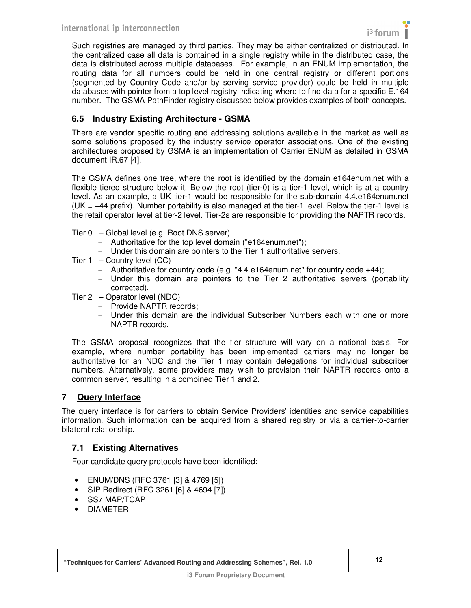

Such registries are managed by third parties. They may be either centralized or distributed. In the centralized case all data is contained in a single registry while in the distributed case, the data is distributed across multiple databases. For example, in an ENUM implementation, the routing data for all numbers could be held in one central registry or different portions (segmented by Country Code and/or by serving service provider) could be held in multiple databases with pointer from a top level registry indicating where to find data for a specific E.164 number. The GSMA PathFinder registry discussed below provides examples of both concepts.

# **6.5 Industry Existing Architecture - GSMA**

There are vendor specific routing and addressing solutions available in the market as well as some solutions proposed by the industry service operator associations. One of the existing architectures proposed by GSMA is an implementation of Carrier ENUM as detailed in GSMA document IR.67 [4].

The GSMA defines one tree, where the root is identified by the domain e164enum.net with a flexible tiered structure below it. Below the root (tier-0) is a tier-1 level, which is at a country level. As an example, a UK tier-1 would be responsible for the sub-domain 4.4.e164enum.net  $(UK = +44$  prefix). Number portability is also managed at the tier-1 level. Below the tier-1 level is the retail operator level at tier-2 level. Tier-2s are responsible for providing the NAPTR records.

- Tier 0 Global level (e.g. Root DNS server)
	- Authoritative for the top level domain ("e164enum.net");
	- Under this domain are pointers to the Tier 1 authoritative servers.
- Tier  $1 -$  Country level  $(CC)$ 
	- Authoritative for country code (e.g. "4.4.e164enum.net" for country code +44);
	- Under this domain are pointers to the Tier 2 authoritative servers (portability corrected).
- Tier 2 Operator level (NDC)
	- Provide NAPTR records;
	- Under this domain are the individual Subscriber Numbers each with one or more NAPTR records.

The GSMA proposal recognizes that the tier structure will vary on a national basis. For example, where number portability has been implemented carriers may no longer be authoritative for an NDC and the Tier 1 may contain delegations for individual subscriber numbers. Alternatively, some providers may wish to provision their NAPTR records onto a common server, resulting in a combined Tier 1 and 2.

# **7 Query Interface**

The query interface is for carriers to obtain Service Providers' identities and service capabilities information. Such information can be acquired from a shared registry or via a carrier-to-carrier bilateral relationship.

# **7.1 Existing Alternatives**

Four candidate query protocols have been identified:

- ENUM/DNS (RFC 3761 [3] & 4769 [5])
- SIP Redirect (RFC 3261 [6] & 4694 [7])
- SS7 MAP/TCAP
- DIAMETER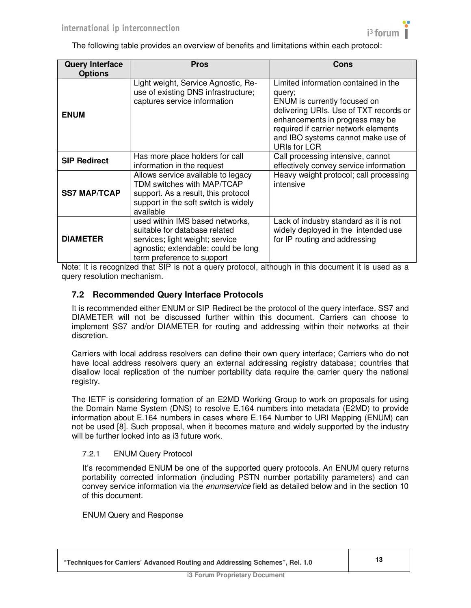

The following table provides an overview of benefits and limitations within each protocol:

| <b>Query Interface</b><br><b>Options</b> | <b>Pros</b>                                                                                                                                                              | <b>Cons</b>                                                                                                                                                                                                                                                      |
|------------------------------------------|--------------------------------------------------------------------------------------------------------------------------------------------------------------------------|------------------------------------------------------------------------------------------------------------------------------------------------------------------------------------------------------------------------------------------------------------------|
| <b>ENUM</b>                              | Light weight, Service Agnostic, Re-<br>use of existing DNS infrastructure;<br>captures service information                                                               | Limited information contained in the<br>query;<br>ENUM is currently focused on<br>delivering URIs. Use of TXT records or<br>enhancements in progress may be<br>required if carrier network elements<br>and IBO systems cannot make use of<br><b>URIs for LCR</b> |
| <b>SIP Redirect</b>                      | Has more place holders for call<br>information in the request                                                                                                            | Call processing intensive, cannot<br>effectively convey service information                                                                                                                                                                                      |
| <b>SS7 MAP/TCAP</b>                      | Allows service available to legacy<br>TDM switches with MAP/TCAP<br>support. As a result, this protocol<br>support in the soft switch is widely<br>available             | Heavy weight protocol; call processing<br>intensive                                                                                                                                                                                                              |
| <b>DIAMETER</b>                          | used within IMS based networks,<br>suitable for database related<br>services; light weight; service<br>agnostic; extendable; could be long<br>term preference to support | Lack of industry standard as it is not<br>widely deployed in the intended use<br>for IP routing and addressing                                                                                                                                                   |

Note: It is recognized that SIP is not a query protocol, although in this document it is used as a query resolution mechanism.

# **7.2 Recommended Query Interface Protocols**

It is recommended either ENUM or SIP Redirect be the protocol of the query interface. SS7 and DIAMETER will not be discussed further within this document. Carriers can choose to implement SS7 and/or DIAMETER for routing and addressing within their networks at their discretion.

Carriers with local address resolvers can define their own query interface; Carriers who do not have local address resolvers query an external addressing registry database; countries that disallow local replication of the number portability data require the carrier query the national registry.

The IETF is considering formation of an E2MD Working Group to work on proposals for using the Domain Name System (DNS) to resolve E.164 numbers into metadata (E2MD) to provide information about E.164 numbers in cases where E.164 Number to URI Mapping (ENUM) can not be used [8]. Such proposal, when it becomes mature and widely supported by the industry will be further looked into as i3 future work.

#### 7.2.1 ENUM Query Protocol

It's recommended ENUM be one of the supported query protocols. An ENUM query returns portability corrected information (including PSTN number portability parameters) and can convey service information via the enumservice field as detailed below and in the section 10 of this document.

#### ENUM Query and Response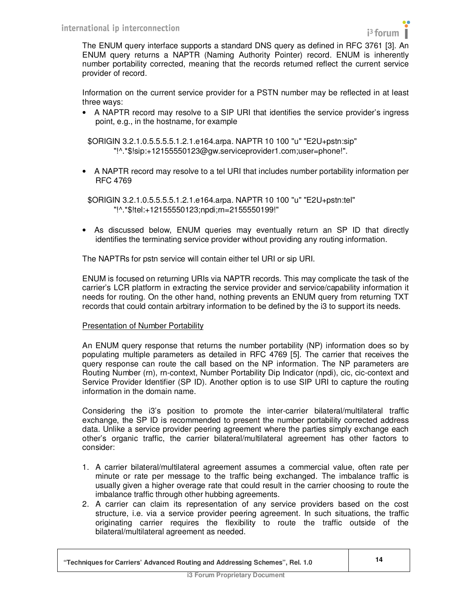

The ENUM query interface supports a standard DNS query as defined in RFC 3761 [3]. An ENUM query returns a NAPTR (Naming Authority Pointer) record. ENUM is inherently number portability corrected, meaning that the records returned reflect the current service provider of record.

Information on the current service provider for a PSTN number may be reflected in at least three ways:

• A NAPTR record may resolve to a SIP URI that identifies the service provider's ingress point, e.g., in the hostname, for example

\$ORIGIN 3.2.1.0.5.5.5.5.1.2.1.e164.arpa. NAPTR 10 100 "u" "E2U+pstn:sip" "!^.\*\$!sip:+12155550123@gw.serviceprovider1.com;user=phone!".

• A NAPTR record may resolve to a tel URI that includes number portability information per RFC 4769

\$ORIGIN 3.2.1.0.5.5.5.5.1.2.1.e164.arpa. NAPTR 10 100 "u" "E2U+pstn:tel" "!^.\*\$!tel:+12155550123;npdi;rn=2155550199!"

• As discussed below, ENUM queries may eventually return an SP ID that directly identifies the terminating service provider without providing any routing information.

The NAPTRs for pstn service will contain either tel URI or sip URI.

ENUM is focused on returning URIs via NAPTR records. This may complicate the task of the carrier's LCR platform in extracting the service provider and service/capability information it needs for routing. On the other hand, nothing prevents an ENUM query from returning TXT records that could contain arbitrary information to be defined by the i3 to support its needs.

#### Presentation of Number Portability

An ENUM query response that returns the number portability (NP) information does so by populating multiple parameters as detailed in RFC 4769 [5]. The carrier that receives the query response can route the call based on the NP information. The NP parameters are Routing Number (rn), rn-context, Number Portability Dip Indicator (npdi), cic, cic-context and Service Provider Identifier (SP ID). Another option is to use SIP URI to capture the routing information in the domain name.

Considering the i3's position to promote the inter-carrier bilateral/multilateral traffic exchange, the SP ID is recommended to present the number portability corrected address data. Unlike a service provider peering agreement where the parties simply exchange each other's organic traffic, the carrier bilateral/multilateral agreement has other factors to consider:

- 1. A carrier bilateral/multilateral agreement assumes a commercial value, often rate per minute or rate per message to the traffic being exchanged. The imbalance traffic is usually given a higher overage rate that could result in the carrier choosing to route the imbalance traffic through other hubbing agreements.
- 2. A carrier can claim its representation of any service providers based on the cost structure, i.e. via a service provider peering agreement. In such situations, the traffic originating carrier requires the flexibility to route the traffic outside of the bilateral/multilateral agreement as needed.

| "Techniques for Carriers' Advanced Routing and Addressing Schemes", Rel. 1.0 |  |
|------------------------------------------------------------------------------|--|
|------------------------------------------------------------------------------|--|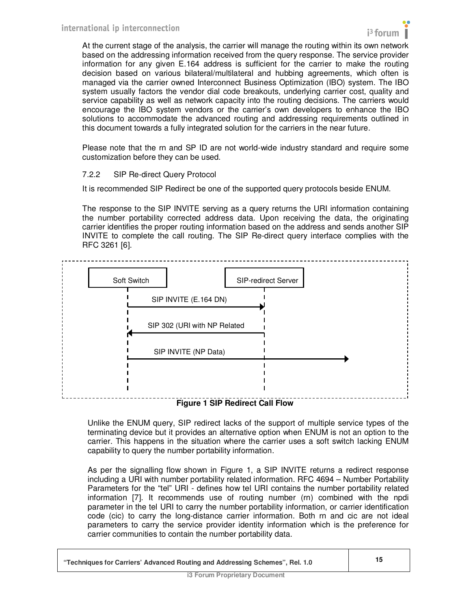

At the current stage of the analysis, the carrier will manage the routing within its own network based on the addressing information received from the query response. The service provider information for any given E.164 address is sufficient for the carrier to make the routing decision based on various bilateral/multilateral and hubbing agreements, which often is managed via the carrier owned Interconnect Business Optimization (IBO) system. The IBO system usually factors the vendor dial code breakouts, underlying carrier cost, quality and service capability as well as network capacity into the routing decisions. The carriers would encourage the IBO system vendors or the carrier's own developers to enhance the IBO solutions to accommodate the advanced routing and addressing requirements outlined in this document towards a fully integrated solution for the carriers in the near future.

Please note that the rn and SP ID are not world-wide industry standard and require some customization before they can be used.

#### 7.2.2 SIP Re-direct Query Protocol

It is recommended SIP Redirect be one of the supported query protocols beside ENUM.

The response to the SIP INVITE serving as a query returns the URI information containing the number portability corrected address data. Upon receiving the data, the originating carrier identifies the proper routing information based on the address and sends another SIP INVITE to complete the call routing. The SIP Re-direct query interface complies with the RFC 3261 [6].



Unlike the ENUM query, SIP redirect lacks of the support of multiple service types of the terminating device but it provides an alternative option when ENUM is not an option to the carrier. This happens in the situation where the carrier uses a soft switch lacking ENUM capability to query the number portability information.

As per the signalling flow shown in Figure 1, a SIP INVITE returns a redirect response including a URI with number portability related information. RFC 4694 – Number Portability Parameters for the "tel" URI - defines how tel URI contains the number portability related information [7]. It recommends use of routing number (rn) combined with the npdi parameter in the tel URI to carry the number portability information, or carrier identification code (cic) to carry the long-distance carrier information. Both rn and cic are not ideal parameters to carry the service provider identity information which is the preference for carrier communities to contain the number portability data.

| "Techniques for Carriers' Advanced Routing and Addressing Schemes", Rel. 1.0 |  |
|------------------------------------------------------------------------------|--|
|                                                                              |  |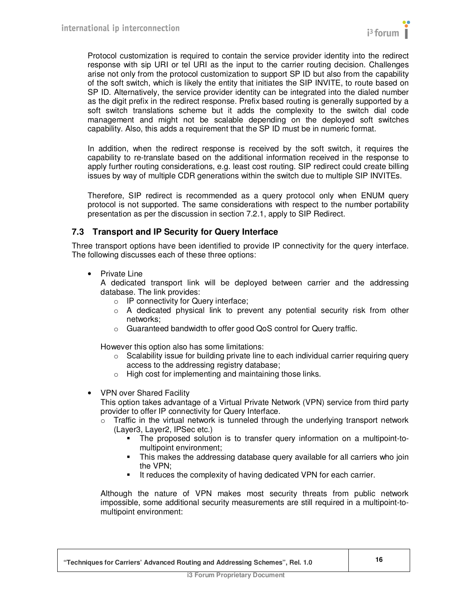Protocol customization is required to contain the service provider identity into the redirect response with sip URI or tel URI as the input to the carrier routing decision. Challenges arise not only from the protocol customization to support SP ID but also from the capability of the soft switch, which is likely the entity that initiates the SIP INVITE, to route based on SP ID. Alternatively, the service provider identity can be integrated into the dialed number as the digit prefix in the redirect response. Prefix based routing is generally supported by a soft switch translations scheme but it adds the complexity to the switch dial code management and might not be scalable depending on the deployed soft switches capability. Also, this adds a requirement that the SP ID must be in numeric format.

In addition, when the redirect response is received by the soft switch, it requires the capability to re-translate based on the additional information received in the response to apply further routing considerations, e.g. least cost routing. SIP redirect could create billing issues by way of multiple CDR generations within the switch due to multiple SIP INVITEs.

Therefore, SIP redirect is recommended as a query protocol only when ENUM query protocol is not supported. The same considerations with respect to the number portability presentation as per the discussion in section 7.2.1, apply to SIP Redirect.

# **7.3 Transport and IP Security for Query Interface**

Three transport options have been identified to provide IP connectivity for the query interface. The following discusses each of these three options:

• Private Line

A dedicated transport link will be deployed between carrier and the addressing database. The link provides:

- o IP connectivity for Query interface;
- $\circ$  A dedicated physical link to prevent any potential security risk from other networks;
- o Guaranteed bandwidth to offer good QoS control for Query traffic.

However this option also has some limitations:

- $\circ$  Scalability issue for building private line to each individual carrier requiring query access to the addressing registry database;
- o High cost for implementing and maintaining those links.
- VPN over Shared Facility

This option takes advantage of a Virtual Private Network (VPN) service from third party provider to offer IP connectivity for Query Interface.

- $\circ$  Traffic in the virtual network is tunneled through the underlying transport network (Layer3, Layer2, IPSec etc.)
	- The proposed solution is to transfer query information on a multipoint-tomultipoint environment;
	- This makes the addressing database query available for all carriers who join the VPN;
	- **It reduces the complexity of having dedicated VPN for each carrier.**

Although the nature of VPN makes most security threats from public network impossible, some additional security measurements are still required in a multipoint-tomultipoint environment: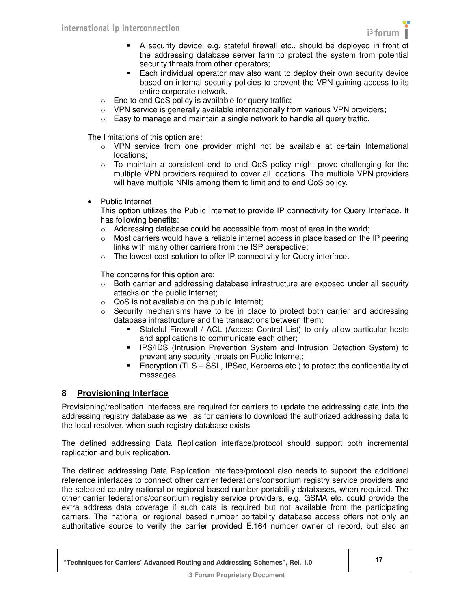

- A security device, e.g. stateful firewall etc., should be deployed in front of the addressing database server farm to protect the system from potential security threats from other operators;
- Each individual operator may also want to deploy their own security device based on internal security policies to prevent the VPN gaining access to its entire corporate network.
- o End to end QoS policy is available for query traffic;
- o VPN service is generally available internationally from various VPN providers;
- $\circ$  Easy to manage and maintain a single network to handle all query traffic.

The limitations of this option are:

- $\circ$  VPN service from one provider might not be available at certain International locations;
- o To maintain a consistent end to end QoS policy might prove challenging for the multiple VPN providers required to cover all locations. The multiple VPN providers will have multiple NNIs among them to limit end to end QoS policy.
- Public Internet

This option utilizes the Public Internet to provide IP connectivity for Query Interface. It has following benefits:

- $\circ$  Addressing database could be accessible from most of area in the world;
- o Most carriers would have a reliable internet access in place based on the IP peering links with many other carriers from the ISP perspective;
- o The lowest cost solution to offer IP connectivity for Query interface.

The concerns for this option are:

- $\circ$  Both carrier and addressing database infrastructure are exposed under all security attacks on the public Internet;
- o QoS is not available on the public Internet;
- $\circ$  Security mechanisms have to be in place to protect both carrier and addressing database infrastructure and the transactions between them:
	- Stateful Firewall / ACL (Access Control List) to only allow particular hosts and applications to communicate each other;
	- **IPS/IDS (Intrusion Prevention System and Intrusion Detection System) to** prevent any security threats on Public Internet;
	- Encryption (TLS SSL, IPSec, Kerberos etc.) to protect the confidentiality of messages.

#### **8 Provisioning Interface**

Provisioning/replication interfaces are required for carriers to update the addressing data into the addressing registry database as well as for carriers to download the authorized addressing data to the local resolver, when such registry database exists.

The defined addressing Data Replication interface/protocol should support both incremental replication and bulk replication.

The defined addressing Data Replication interface/protocol also needs to support the additional reference interfaces to connect other carrier federations/consortium registry service providers and the selected country national or regional based number portability databases, when required. The other carrier federations/consortium registry service providers, e.g. GSMA etc. could provide the extra address data coverage if such data is required but not available from the participating carriers. The national or regional based number portability database access offers not only an authoritative source to verify the carrier provided E.164 number owner of record, but also an

| "Techniques for Carriers' Advanced Routing and Addressing Schemes", Rel. 1.0 |  |
|------------------------------------------------------------------------------|--|
|------------------------------------------------------------------------------|--|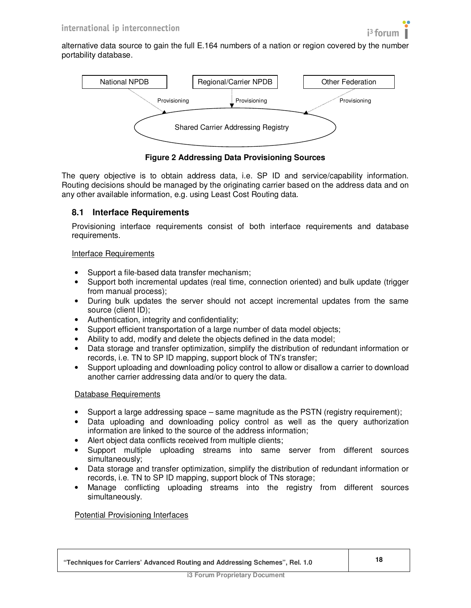

alternative data source to gain the full E.164 numbers of a nation or region covered by the number portability database.



**Figure 2 Addressing Data Provisioning Sources** 

The query objective is to obtain address data, i.e. SP ID and service/capability information. Routing decisions should be managed by the originating carrier based on the address data and on any other available information, e.g. using Least Cost Routing data.

# **8.1 Interface Requirements**

Provisioning interface requirements consist of both interface requirements and database requirements.

### Interface Requirements

- Support a file-based data transfer mechanism;
- Support both incremental updates (real time, connection oriented) and bulk update (trigger from manual process);
- During bulk updates the server should not accept incremental updates from the same source (client ID);
- Authentication, integrity and confidentiality;
- Support efficient transportation of a large number of data model objects;
- Ability to add, modify and delete the objects defined in the data model;
- Data storage and transfer optimization, simplify the distribution of redundant information or records, i.e. TN to SP ID mapping, support block of TN's transfer;
- Support uploading and downloading policy control to allow or disallow a carrier to download another carrier addressing data and/or to query the data.

#### Database Requirements

- Support a large addressing space same magnitude as the PSTN (registry requirement);
- Data uploading and downloading policy control as well as the query authorization information are linked to the source of the address information;
- Alert object data conflicts received from multiple clients;
- Support multiple uploading streams into same server from different sources simultaneously;
- Data storage and transfer optimization, simplify the distribution of redundant information or records, i.e. TN to SP ID mapping, support block of TNs storage;
- Manage conflicting uploading streams into the registry from different sources simultaneously.

#### Potential Provisioning Interfaces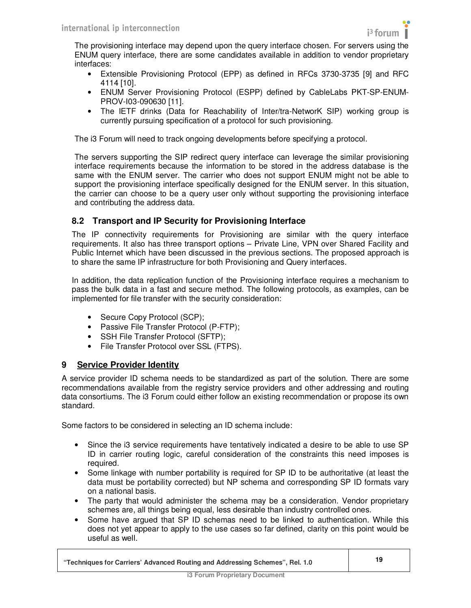The provisioning interface may depend upon the query interface chosen. For servers using the ENUM query interface, there are some candidates available in addition to vendor proprietary interfaces:

- Extensible Provisioning Protocol (EPP) as defined in RFCs 3730-3735 [9] and RFC 4114 [10].
- ENUM Server Provisioning Protocol (ESPP) defined by CableLabs PKT-SP-ENUM-PROV-I03-090630 [11].
- The IETF drinks (Data for Reachability of Inter/tra-NetworK SIP) working group is currently pursuing specification of a protocol for such provisioning.

The i3 Forum will need to track ongoing developments before specifying a protocol.

The servers supporting the SIP redirect query interface can leverage the similar provisioning interface requirements because the information to be stored in the address database is the same with the ENUM server. The carrier who does not support ENUM might not be able to support the provisioning interface specifically designed for the ENUM server. In this situation, the carrier can choose to be a query user only without supporting the provisioning interface and contributing the address data.

# **8.2 Transport and IP Security for Provisioning Interface**

The IP connectivity requirements for Provisioning are similar with the query interface requirements. It also has three transport options – Private Line, VPN over Shared Facility and Public Internet which have been discussed in the previous sections. The proposed approach is to share the same IP infrastructure for both Provisioning and Query interfaces.

In addition, the data replication function of the Provisioning interface requires a mechanism to pass the bulk data in a fast and secure method. The following protocols, as examples, can be implemented for file transfer with the security consideration:

- Secure Copy Protocol (SCP);
- Passive File Transfer Protocol (P-FTP);
- SSH File Transfer Protocol (SFTP);
- File Transfer Protocol over SSL (FTPS).

# **9 Service Provider Identity**

A service provider ID schema needs to be standardized as part of the solution. There are some recommendations available from the registry service providers and other addressing and routing data consortiums. The i3 Forum could either follow an existing recommendation or propose its own standard.

Some factors to be considered in selecting an ID schema include:

- Since the i3 service requirements have tentatively indicated a desire to be able to use SP ID in carrier routing logic, careful consideration of the constraints this need imposes is required.
- Some linkage with number portability is required for SP ID to be authoritative (at least the data must be portability corrected) but NP schema and corresponding SP ID formats vary on a national basis.
- The party that would administer the schema may be a consideration. Vendor proprietary schemes are, all things being equal, less desirable than industry controlled ones.
- Some have argued that SP ID schemas need to be linked to authentication. While this does not yet appear to apply to the use cases so far defined, clarity on this point would be useful as well.

| "Techniques for Carriers' Advanced Routing and Addressing Schemes", Rel. 1.0 |  |
|------------------------------------------------------------------------------|--|
|------------------------------------------------------------------------------|--|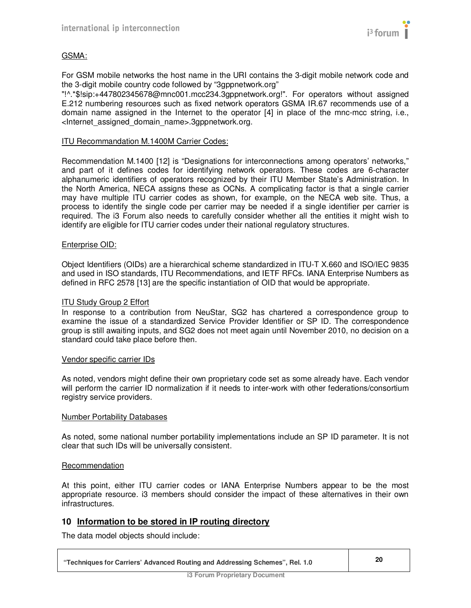

### GSMA:

For GSM mobile networks the host name in the URI contains the 3-digit mobile network code and the 3-digit mobile country code followed by "3gppnetwork.org"

"!^.\*\$!sip:+447802345678@mnc001.mcc234.3gppnetwork.org!". For operators without assigned E.212 numbering resources such as fixed network operators GSMA IR.67 recommends use of a domain name assigned in the Internet to the operator [4] in place of the mnc-mcc string, i.e., <Internet\_assigned\_domain\_name>.3gppnetwork.org.

#### ITU Recommandation M.1400M Carrier Codes:

Recommendation M.1400 [12] is "Designations for interconnections among operators' networks," and part of it defines codes for identifying network operators. These codes are 6-character alphanumeric identifiers of operators recognized by their ITU Member State's Administration. In the North America, NECA assigns these as OCNs. A complicating factor is that a single carrier may have multiple ITU carrier codes as shown, for example, on the NECA web site. Thus, a process to identify the single code per carrier may be needed if a single identifier per carrier is required. The i3 Forum also needs to carefully consider whether all the entities it might wish to identify are eligible for ITU carrier codes under their national regulatory structures.

#### Enterprise OID:

Object Identifiers (OIDs) are a hierarchical scheme standardized in ITU-T X.660 and ISO/IEC 9835 and used in ISO standards, ITU Recommendations, and IETF RFCs. IANA Enterprise Numbers as defined in RFC 2578 [13] are the specific instantiation of OID that would be appropriate.

#### ITU Study Group 2 Effort

In response to a contribution from NeuStar, SG2 has chartered a correspondence group to examine the issue of a standardized Service Provider Identifier or SP ID. The correspondence group is still awaiting inputs, and SG2 does not meet again until November 2010, no decision on a standard could take place before then.

#### Vendor specific carrier IDs

As noted, vendors might define their own proprietary code set as some already have. Each vendor will perform the carrier ID normalization if it needs to inter-work with other federations/consortium registry service providers.

#### Number Portability Databases

As noted, some national number portability implementations include an SP ID parameter. It is not clear that such IDs will be universally consistent.

#### Recommendation

At this point, either ITU carrier codes or IANA Enterprise Numbers appear to be the most appropriate resource. i3 members should consider the impact of these alternatives in their own infrastructures.

# **10 Information to be stored in IP routing directory**

The data model objects should include: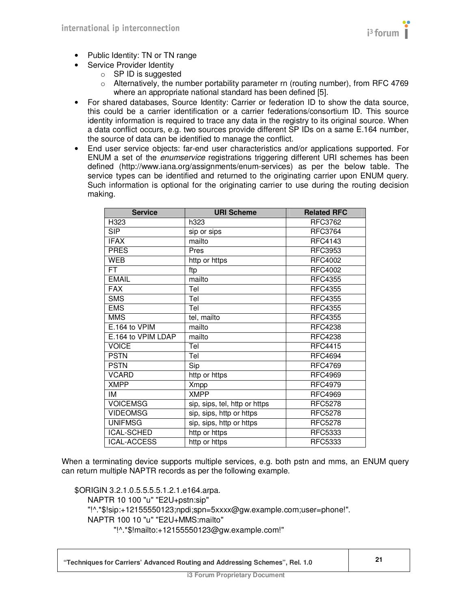

- Public Identity: TN or TN range
- Service Provider Identity
	- $\circ$  SP ID is suggested
	- $\circ$  Alternatively, the number portability parameter rn (routing number), from RFC 4769 where an appropriate national standard has been defined [5].
- For shared databases, Source Identity: Carrier or federation ID to show the data source, this could be a carrier identification or a carrier federations/consortium ID. This source identity information is required to trace any data in the registry to its original source. When a data conflict occurs, e.g. two sources provide different SP IDs on a same E.164 number, the source of data can be identified to manage the conflict.
- End user service objects: far-end user characteristics and/or applications supported. For ENUM a set of the enumservice registrations triggering different URI schemes has been defined (http://www.iana.org/assignments/enum-services) as per the below table. The service types can be identified and returned to the originating carrier upon ENUM query. Such information is optional for the originating carrier to use during the routing decision making.

| <b>Service</b>     | <b>URI Scheme</b>             | <b>Related RFC</b> |
|--------------------|-------------------------------|--------------------|
| H323               | h323                          | RFC3762            |
| <b>SIP</b>         | sip or sips                   | <b>RFC3764</b>     |
| <b>IFAX</b>        | mailto                        | <b>RFC4143</b>     |
| <b>PRES</b>        | Pres                          | <b>RFC3953</b>     |
| <b>WEB</b>         | http or https                 | <b>RFC4002</b>     |
| FT.                | ftp                           | <b>RFC4002</b>     |
| <b>EMAIL</b>       | mailto                        | <b>RFC4355</b>     |
| <b>FAX</b>         | Tel                           | <b>RFC4355</b>     |
| <b>SMS</b>         | Tel                           | <b>RFC4355</b>     |
| <b>EMS</b>         | Tel                           | <b>RFC4355</b>     |
| <b>MMS</b>         | tel, mailto                   | <b>RFC4355</b>     |
| E.164 to VPIM      | mailto                        | <b>RFC4238</b>     |
| E.164 to VPIM LDAP | mailto                        | <b>RFC4238</b>     |
| <b>VOICE</b>       | Tel                           | <b>RFC4415</b>     |
| <b>PSTN</b>        | Tel                           | <b>RFC4694</b>     |
| <b>PSTN</b>        | Sip                           | <b>RFC4769</b>     |
| <b>VCARD</b>       | http or https                 | <b>RFC4969</b>     |
| <b>XMPP</b>        | <b>Xmpp</b>                   | <b>RFC4979</b>     |
| IM                 | <b>XMPP</b>                   | <b>RFC4969</b>     |
| <b>VOICEMSG</b>    | sip, sips, tel, http or https | <b>RFC5278</b>     |
| <b>VIDEOMSG</b>    | sip, sips, http or https      | <b>RFC5278</b>     |
| <b>UNIFMSG</b>     | sip, sips, http or https      | <b>RFC5278</b>     |
| <b>ICAL-SCHED</b>  | http or https                 | RFC5333            |
| <b>ICAL-ACCESS</b> | http or https                 | <b>RFC5333</b>     |

When a terminating device supports multiple services, e.g. both pstn and mms, an ENUM query can return multiple NAPTR records as per the following example.

\$ORIGIN 3.2.1.0.5.5.5.5.1.2.1.e164.arpa. NAPTR 10 100 "u" "E2U+pstn:sip" "!^.\*\$!sip:+12155550123;npdi;spn=5xxxx@gw.example.com;user=phone!". NAPTR 100 10 "u" "E2U+MMS:mailto" "!^.\*\$!mailto:+12155550123@gw.example.com!"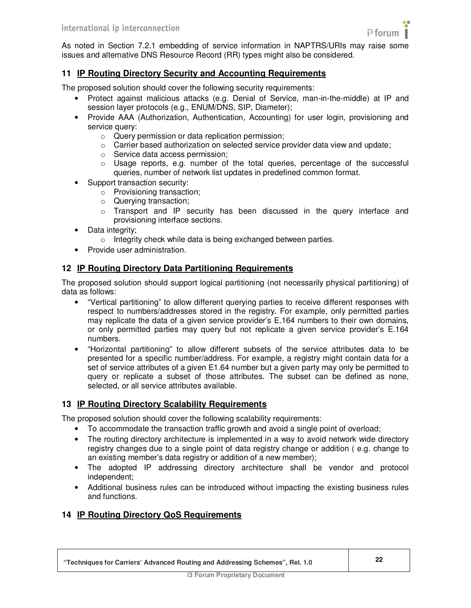

As noted in Section 7.2.1 embedding of service information in NAPTRS/URIs may raise some issues and alternative DNS Resource Record (RR) types might also be considered.

# **11 IP Routing Directory Security and Accounting Requirements**

The proposed solution should cover the following security requirements:

- Protect against malicious attacks (e.g. Denial of Service, man-in-the-middle) at IP and session layer protocols (e.g., ENUM/DNS, SIP, Diameter);
- Provide AAA (Authorization, Authentication, Accounting) for user login, provisioning and service query:
	- o Query permission or data replication permission;
	- $\circ$  Carrier based authorization on selected service provider data view and update;
	- o Service data access permission;
	- $\circ$  Usage reports, e.g. number of the total queries, percentage of the successful queries, number of network list updates in predefined common format.
- Support transaction security:
	- o Provisioning transaction;
	- o Querying transaction;
	- o Transport and IP security has been discussed in the query interface and provisioning interface sections.
- Data integrity;
	- o Integrity check while data is being exchanged between parties.
- Provide user administration.

### **12 IP Routing Directory Data Partitioning Requirements**

The proposed solution should support logical partitioning (not necessarily physical partitioning) of data as follows:

- "Vertical partitioning" to allow different querying parties to receive different responses with respect to numbers/addresses stored in the registry. For example, only permitted parties may replicate the data of a given service provider's E.164 numbers to their own domains, or only permitted parties may query but not replicate a given service provider's E.164 numbers.
- "Horizontal partitioning" to allow different subsets of the service attributes data to be presented for a specific number/address. For example, a registry might contain data for a set of service attributes of a given E1.64 number but a given party may only be permitted to query or replicate a subset of those attributes. The subset can be defined as none, selected, or all service attributes available.

#### **13 IP Routing Directory Scalability Requirements**

The proposed solution should cover the following scalability requirements:

- To accommodate the transaction traffic growth and avoid a single point of overload;
- The routing directory architecture is implemented in a way to avoid network wide directory registry changes due to a single point of data registry change or addition ( e.g. change to an existing member's data registry or addition of a new member);
- The adopted IP addressing directory architecture shall be vendor and protocol independent;
- Additional business rules can be introduced without impacting the existing business rules and functions.

# **14 IP Routing Directory QoS Requirements**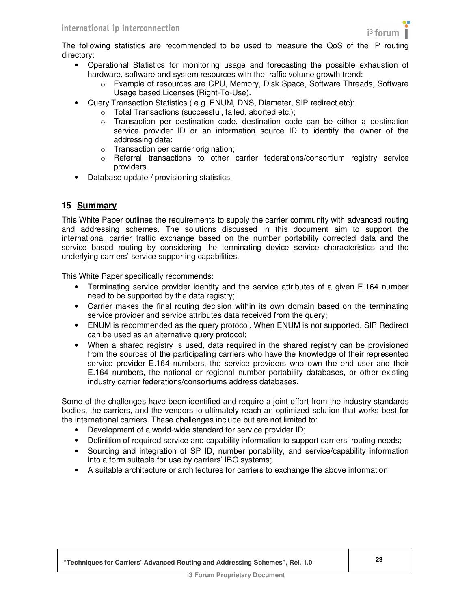The following statistics are recommended to be used to measure the QoS of the IP routing directory:

- Operational Statistics for monitoring usage and forecasting the possible exhaustion of hardware, software and system resources with the traffic volume growth trend:
	- o Example of resources are CPU, Memory, Disk Space, Software Threads, Software Usage based Licenses (Right-To-Use).
- Query Transaction Statistics ( e.g. ENUM, DNS, Diameter, SIP redirect etc):
	- o Total Transactions (successful, failed, aborted etc.);
	- o Transaction per destination code, destination code can be either a destination service provider ID or an information source ID to identify the owner of the addressing data;
	- o Transaction per carrier origination;
	- o Referral transactions to other carrier federations/consortium registry service providers.
- Database update / provisioning statistics.

# **15 Summary**

This White Paper outlines the requirements to supply the carrier community with advanced routing and addressing schemes. The solutions discussed in this document aim to support the international carrier traffic exchange based on the number portability corrected data and the service based routing by considering the terminating device service characteristics and the underlying carriers' service supporting capabilities.

This White Paper specifically recommends:

- Terminating service provider identity and the service attributes of a given E.164 number need to be supported by the data registry;
- Carrier makes the final routing decision within its own domain based on the terminating service provider and service attributes data received from the query;
- ENUM is recommended as the query protocol. When ENUM is not supported, SIP Redirect can be used as an alternative query protocol;
- When a shared registry is used, data required in the shared registry can be provisioned from the sources of the participating carriers who have the knowledge of their represented service provider E.164 numbers, the service providers who own the end user and their E.164 numbers, the national or regional number portability databases, or other existing industry carrier federations/consortiums address databases.

Some of the challenges have been identified and require a joint effort from the industry standards bodies, the carriers, and the vendors to ultimately reach an optimized solution that works best for the international carriers. These challenges include but are not limited to:

- Development of a world-wide standard for service provider ID;
- Definition of required service and capability information to support carriers' routing needs;
- Sourcing and integration of SP ID, number portability, and service/capability information into a form suitable for use by carriers' IBO systems;
- A suitable architecture or architectures for carriers to exchange the above information.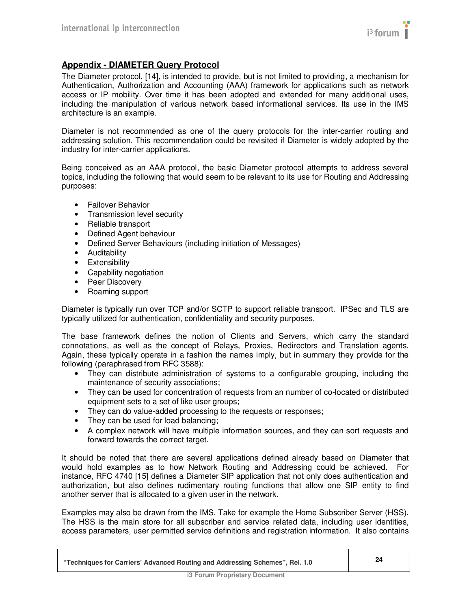

# **Appendix - DIAMETER Query Protocol**

The Diameter protocol, [14], is intended to provide, but is not limited to providing, a mechanism for Authentication, Authorization and Accounting (AAA) framework for applications such as network access or IP mobility. Over time it has been adopted and extended for many additional uses, including the manipulation of various network based informational services. Its use in the IMS architecture is an example.

Diameter is not recommended as one of the query protocols for the inter-carrier routing and addressing solution. This recommendation could be revisited if Diameter is widely adopted by the industry for inter-carrier applications.

Being conceived as an AAA protocol, the basic Diameter protocol attempts to address several topics, including the following that would seem to be relevant to its use for Routing and Addressing purposes:

- Failover Behavior
- Transmission level security
- Reliable transport
- Defined Agent behaviour
- Defined Server Behaviours (including initiation of Messages)
- Auditability
- Extensibility
- Capability negotiation
- Peer Discovery
- Roaming support

Diameter is typically run over TCP and/or SCTP to support reliable transport. IPSec and TLS are typically utilized for authentication, confidentiality and security purposes.

The base framework defines the notion of Clients and Servers, which carry the standard connotations, as well as the concept of Relays, Proxies, Redirectors and Translation agents. Again, these typically operate in a fashion the names imply, but in summary they provide for the following (paraphrased from RFC 3588):

- They can distribute administration of systems to a configurable grouping, including the maintenance of security associations;
- They can be used for concentration of requests from an number of co-located or distributed equipment sets to a set of like user groups;
- They can do value-added processing to the requests or responses;
- They can be used for load balancing;
- A complex network will have multiple information sources, and they can sort requests and forward towards the correct target.

It should be noted that there are several applications defined already based on Diameter that would hold examples as to how Network Routing and Addressing could be achieved. For instance, RFC 4740 [15] defines a Diameter SIP application that not only does authentication and authorization, but also defines rudimentary routing functions that allow one SIP entity to find another server that is allocated to a given user in the network.

Examples may also be drawn from the IMS. Take for example the Home Subscriber Server (HSS). The HSS is the main store for all subscriber and service related data, including user identities, access parameters, user permitted service definitions and registration information. It also contains

| "Techniques for Carriers' Advanced Routing and Addressing Schemes", Rel. 1.0 |  |
|------------------------------------------------------------------------------|--|
|------------------------------------------------------------------------------|--|